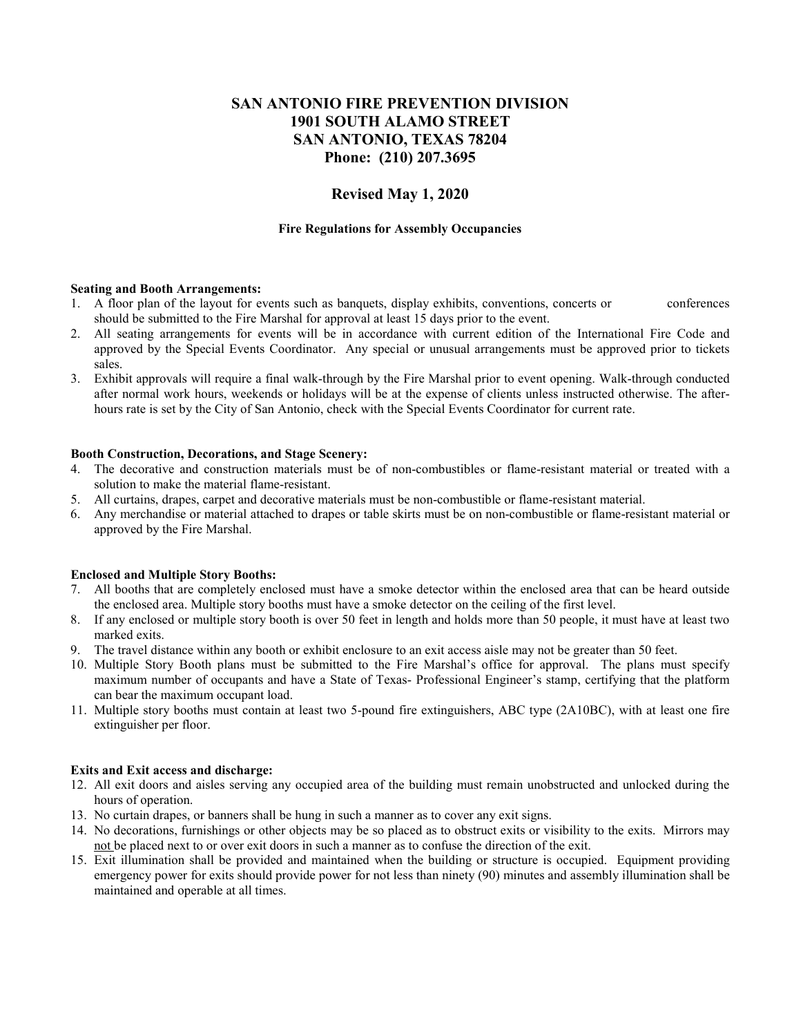# **SAN ANTONIO FIRE PREVENTION DIVISION 1901 SOUTH ALAMO STREET SAN ANTONIO, TEXAS 78204 Phone: (210) 207.3695**

## **Revised May 1, 2020**

#### **Fire Regulations for Assembly Occupancies**

#### **Seating and Booth Arrangements:**

- 1. A floor plan of the layout for events such as banquets, display exhibits, conventions, concerts or conferences should be submitted to the Fire Marshal for approval at least 15 days prior to the event.
- 2. All seating arrangements for events will be in accordance with current edition of the International Fire Code and approved by the Special Events Coordinator. Any special or unusual arrangements must be approved prior to tickets sales.
- 3. Exhibit approvals will require a final walk-through by the Fire Marshal prior to event opening. Walk-through conducted after normal work hours, weekends or holidays will be at the expense of clients unless instructed otherwise. The afterhours rate is set by the City of San Antonio, check with the Special Events Coordinator for current rate.

#### **Booth Construction, Decorations, and Stage Scenery:**

- 4. The decorative and construction materials must be of non-combustibles or flame-resistant material or treated with a solution to make the material flame-resistant.
- 5. All curtains, drapes, carpet and decorative materials must be non-combustible or flame-resistant material.
- 6. Any merchandise or material attached to drapes or table skirts must be on non-combustible or flame-resistant material or approved by the Fire Marshal.

### **Enclosed and Multiple Story Booths:**

- 7. All booths that are completely enclosed must have a smoke detector within the enclosed area that can be heard outside the enclosed area. Multiple story booths must have a smoke detector on the ceiling of the first level.
- 8. If any enclosed or multiple story booth is over 50 feet in length and holds more than 50 people, it must have at least two marked exits.
- 9. The travel distance within any booth or exhibit enclosure to an exit access aisle may not be greater than 50 feet.
- 10. Multiple Story Booth plans must be submitted to the Fire Marshal's office for approval. The plans must specify maximum number of occupants and have a State of Texas- Professional Engineer's stamp, certifying that the platform can bear the maximum occupant load.
- 11. Multiple story booths must contain at least two 5-pound fire extinguishers, ABC type (2A10BC), with at least one fire extinguisher per floor.

### **Exits and Exit access and discharge:**

- 12. All exit doors and aisles serving any occupied area of the building must remain unobstructed and unlocked during the hours of operation.
- 13. No curtain drapes, or banners shall be hung in such a manner as to cover any exit signs.
- 14. No decorations, furnishings or other objects may be so placed as to obstruct exits or visibility to the exits. Mirrors may not be placed next to or over exit doors in such a manner as to confuse the direction of the exit.
- 15. Exit illumination shall be provided and maintained when the building or structure is occupied. Equipment providing emergency power for exits should provide power for not less than ninety (90) minutes and assembly illumination shall be maintained and operable at all times.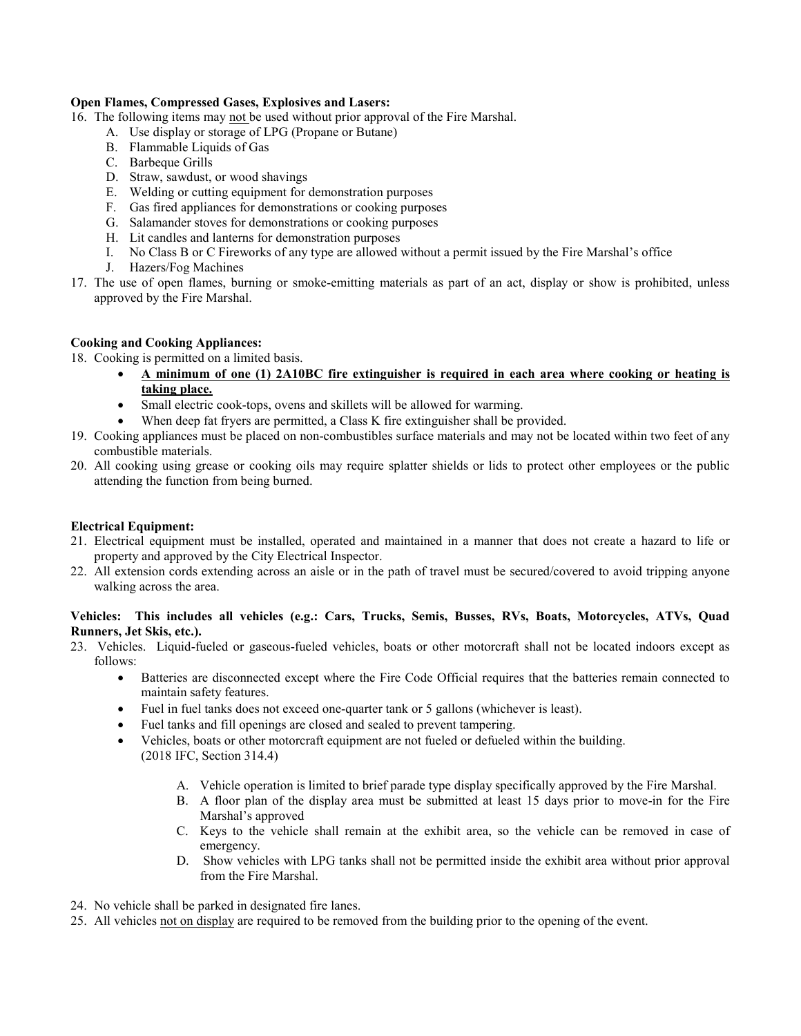### **Open Flames, Compressed Gases, Explosives and Lasers:**

- 16. The following items may not be used without prior approval of the Fire Marshal.
	- A. Use display or storage of LPG (Propane or Butane)
	- B. Flammable Liquids of Gas
	- C. Barbeque Grills
	- D. Straw, sawdust, or wood shavings
	- E. Welding or cutting equipment for demonstration purposes
	- F. Gas fired appliances for demonstrations or cooking purposes
	- G. Salamander stoves for demonstrations or cooking purposes
	- H. Lit candles and lanterns for demonstration purposes
	- I. No Class B or C Fireworks of any type are allowed without a permit issued by the Fire Marshal's office
	- J. Hazers/Fog Machines
- 17. The use of open flames, burning or smoke-emitting materials as part of an act, display or show is prohibited, unless approved by the Fire Marshal.

### **Cooking and Cooking Appliances:**

- 18. Cooking is permitted on a limited basis.
	- **A minimum of one (1) 2A10BC fire extinguisher is required in each area where cooking or heating is taking place.**
	- Small electric cook-tops, ovens and skillets will be allowed for warming.
	- When deep fat fryers are permitted, a Class K fire extinguisher shall be provided.
- 19. Cooking appliances must be placed on non-combustibles surface materials and may not be located within two feet of any combustible materials.
- 20. All cooking using grease or cooking oils may require splatter shields or lids to protect other employees or the public attending the function from being burned.

### **Electrical Equipment:**

- 21. Electrical equipment must be installed, operated and maintained in a manner that does not create a hazard to life or property and approved by the City Electrical Inspector.
- 22. All extension cords extending across an aisle or in the path of travel must be secured/covered to avoid tripping anyone walking across the area.

### **Vehicles: This includes all vehicles (e.g.: Cars, Trucks, Semis, Busses, RVs, Boats, Motorcycles, ATVs, Quad Runners, Jet Skis, etc.).**

- 23. Vehicles. Liquid-fueled or gaseous-fueled vehicles, boats or other motorcraft shall not be located indoors except as follows:
	- Batteries are disconnected except where the Fire Code Official requires that the batteries remain connected to maintain safety features.
	- Fuel in fuel tanks does not exceed one-quarter tank or 5 gallons (whichever is least).
	- Fuel tanks and fill openings are closed and sealed to prevent tampering.
	- Vehicles, boats or other motorcraft equipment are not fueled or defueled within the building. (2018 IFC, Section 314.4)
		- A. Vehicle operation is limited to brief parade type display specifically approved by the Fire Marshal.
		- B. A floor plan of the display area must be submitted at least 15 days prior to move-in for the Fire Marshal's approved
		- C. Keys to the vehicle shall remain at the exhibit area, so the vehicle can be removed in case of emergency.
		- D. Show vehicles with LPG tanks shall not be permitted inside the exhibit area without prior approval from the Fire Marshal.
- 24. No vehicle shall be parked in designated fire lanes.
- 25. All vehicles not on display are required to be removed from the building prior to the opening of the event.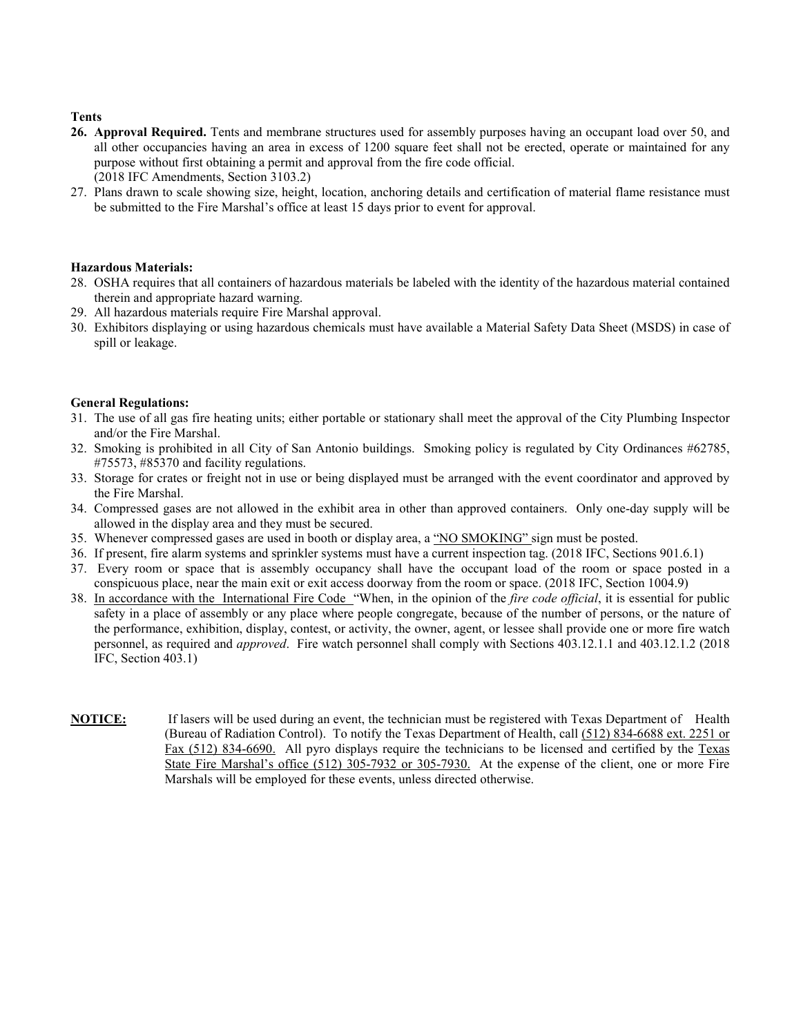#### **Tents**

- **26. Approval Required.** Tents and membrane structures used for assembly purposes having an occupant load over 50, and all other occupancies having an area in excess of 1200 square feet shall not be erected, operate or maintained for any purpose without first obtaining a permit and approval from the fire code official. (2018 IFC Amendments, Section 3103.2)
- 27. Plans drawn to scale showing size, height, location, anchoring details and certification of material flame resistance must be submitted to the Fire Marshal's office at least 15 days prior to event for approval.

#### **Hazardous Materials:**

- 28. OSHA requires that all containers of hazardous materials be labeled with the identity of the hazardous material contained therein and appropriate hazard warning.
- 29. All hazardous materials require Fire Marshal approval.
- 30. Exhibitors displaying or using hazardous chemicals must have available a Material Safety Data Sheet (MSDS) in case of spill or leakage.

#### **General Regulations:**

- 31. The use of all gas fire heating units; either portable or stationary shall meet the approval of the City Plumbing Inspector and/or the Fire Marshal.
- 32. Smoking is prohibited in all City of San Antonio buildings. Smoking policy is regulated by City Ordinances #62785, #75573, #85370 and facility regulations.
- 33. Storage for crates or freight not in use or being displayed must be arranged with the event coordinator and approved by the Fire Marshal.
- 34. Compressed gases are not allowed in the exhibit area in other than approved containers. Only one-day supply will be allowed in the display area and they must be secured.
- 35. Whenever compressed gases are used in booth or display area, a "NO SMOKING" sign must be posted.
- 36. If present, fire alarm systems and sprinkler systems must have a current inspection tag. (2018 IFC, Sections 901.6.1)
- 37. Every room or space that is assembly occupancy shall have the occupant load of the room or space posted in a conspicuous place, near the main exit or exit access doorway from the room or space. (2018 IFC, Section 1004.9)
- 38. In accordance with the International Fire Code "When, in the opinion of the *fire code official*, it is essential for public safety in a place of assembly or any place where people congregate, because of the number of persons, or the nature of the performance, exhibition, display, contest, or activity, the owner, agent, or lessee shall provide one or more fire watch personnel, as required and *approved*. Fire watch personnel shall comply with Sections 403.12.1.1 and 403.12.1.2 (2018 IFC, Section 403.1)
- **NOTICE:** If lasers will be used during an event, the technician must be registered with Texas Department of Health (Bureau of Radiation Control). To notify the Texas Department of Health, call (512) 834-6688 ext. 2251 or Fax (512) 834-6690. All pyro displays require the technicians to be licensed and certified by the Texas State Fire Marshal's office (512) 305-7932 or 305-7930. At the expense of the client, one or more Fire Marshals will be employed for these events, unless directed otherwise.